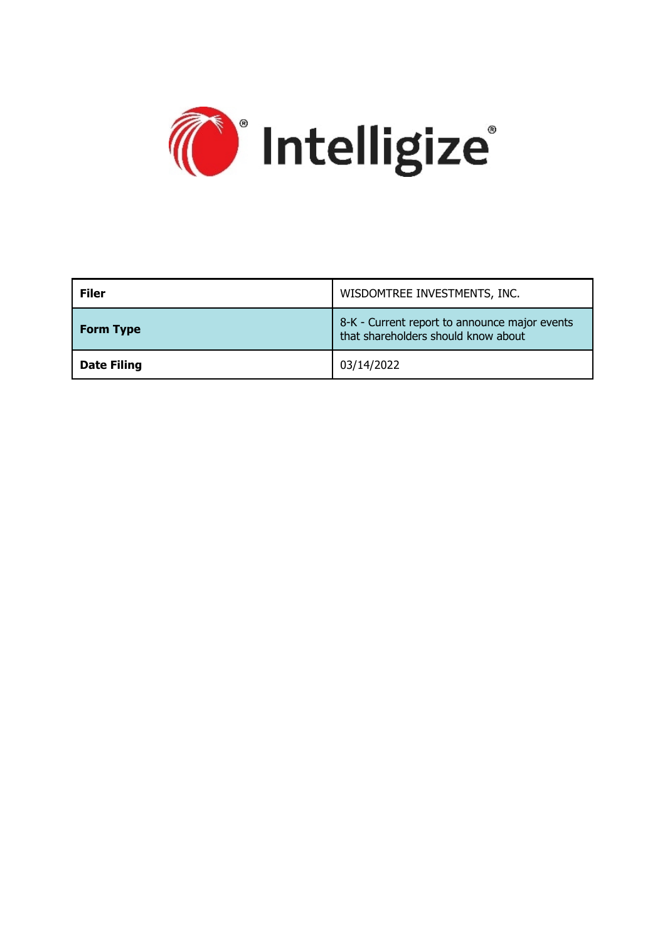

| <b>Filer</b>       | WISDOMTREE INVESTMENTS, INC.                                                         |
|--------------------|--------------------------------------------------------------------------------------|
| <b>Form Type</b>   | 8-K - Current report to announce major events<br>that shareholders should know about |
| <b>Date Filing</b> | 03/14/2022                                                                           |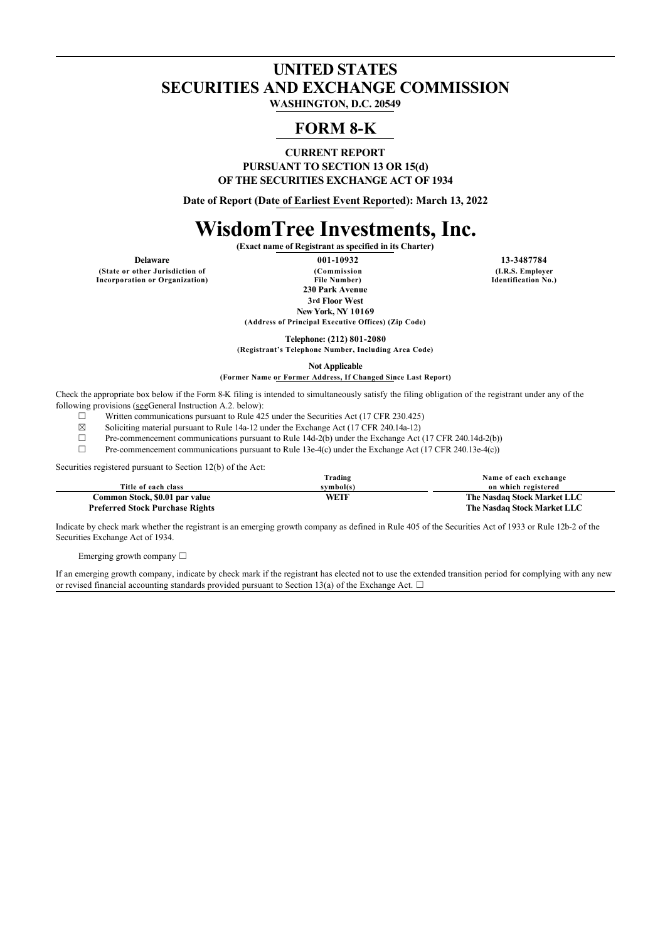## **UNITED STATES SECURITIES AND EXCHANGE COMMISSION**

**WASHINGTON, D.C. 20549**

### **FORM 8-K**

**CURRENT REPORT PURSUANT TO SECTION 13 OR 15(d) OF THE SECURITIES EXCHANGE ACT OF 1934**

**Date of Report (Date of Earliest Event Reported): March 13, 2022**

# **WisdomTree Investments, Inc.**

**(Exact name of Registrant as specified in its Charter)**

**(State or other Jurisdiction of Incorporation or Organization)**

**Delaware 001-10932 13-3487784 (Commission File Number) 230 Park Avenue 3rd Floor West New York, NY 10169**

**(Address of Principal Executive Offices) (Zip Code)**

**Telephone: (212) 801-2080**

**(Registrant's Telephone Number, Including Area Code)**

**Not Applicable**

**(Former Name or Former Address, If Changed Since Last Report)**

Check the appropriate box below if the Form 8-K filing is intended to simultaneously satisfy the filing obligation of the registrant under any of the following provisions (seeGeneral Instruction A.2. below):

 $\Box$  Written communications pursuant to Rule 425 under the Securities Act (17 CFR 230.425)<br>Soliciting material pursuant to Rule 14a-12 under the Exchange Act (17 CFR 240.14a-12)

Soliciting material pursuant to Rule 14a-12 under the Exchange Act (17 CFR 240.14a-12)

□ Pre-commencement communications pursuant to Rule 14d-2(b) under the Exchange Act (17 CFR 240.14d-2(b)) <br>Pre-commencement communications pursuant to Rule 13e-4(c) under the Exchange Act (17 CFR 240.13e-4(c))

Pre-commencement communications pursuant to Rule 13e-4(c) under the Exchange Act (17 CFR 240.13e-4(c))

Securities registered pursuant to Section 12(b) of the Act:

|                                        | Trading   | Name of each exchange       |
|----------------------------------------|-----------|-----------------------------|
| Title of each class                    | symbol(s) | on which registered         |
| Common Stock, \$0.01 par value         | WETF      | The Nasdaq Stock Market LLC |
| <b>Preferred Stock Purchase Rights</b> |           | The Nasdaq Stock Market LLC |

Indicate by check mark whether the registrant is an emerging growth company as defined in Rule 405 of the Securities Act of 1933 or Rule 12b-2 of the Securities Exchange Act of 1934.

Emerging growth company  $\Box$ 

If an emerging growth company, indicate by check mark if the registrant has elected not to use the extended transition period for complying with any new or revised financial accounting standards provided pursuant to Section 13(a) of the Exchange Act.  $\Box$ 

**(I.R.S. Employer Identification No.)**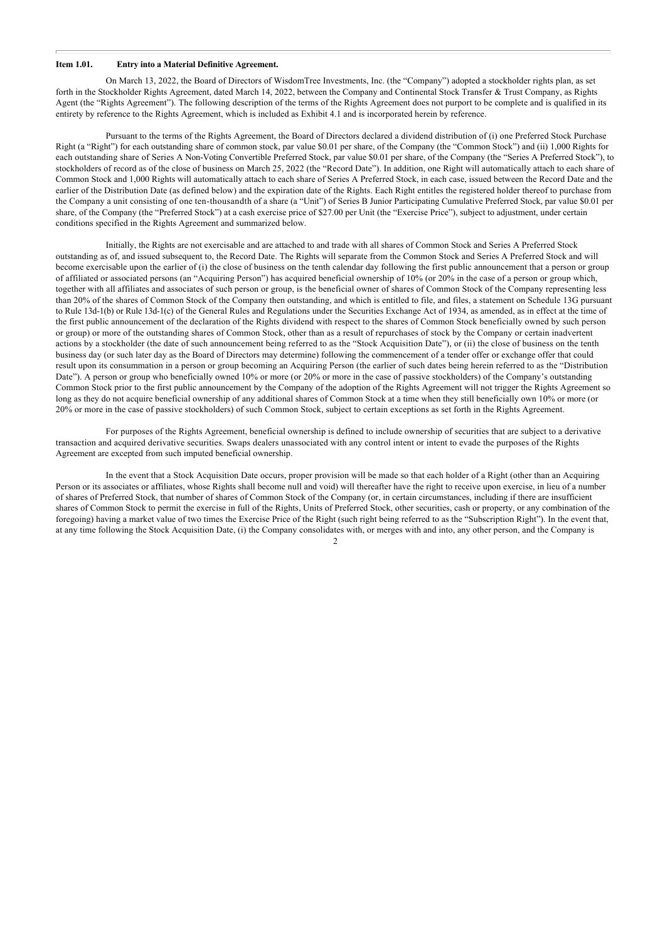#### **Item 1.01. Entry into a Material Definitive Agreement.**

On March 13, 2022, the Board of Directors of WisdomTree Investments, Inc. (the "Company") adopted a stockholder rights plan, as set forth in the Stockholder Rights Agreement, dated March 14, 2022, between the Company and Continental Stock Transfer & Trust Company, as Rights Agent (the "Rights Agreement"). The following description of the terms of the Rights Agreement does not purport to be complete and is qualified in its entirety by reference to the Rights Agreement, which is included as Exhibit 4.1 and is incorporated herein by reference.

Pursuant to the terms of the Rights Agreement, the Board of Directors declared a dividend distribution of (i) one Preferred Stock Purchase Right (a "Right") for each outstanding share of common stock, par value \$0.01 per share, of the Company (the "Common Stock") and (ii) 1,000 Rights for each outstanding share of Series A Non-Voting Convertible Preferred Stock, par value \$0.01 per share, of the Company (the "Series A Preferred Stock"), to stockholders of record as of the close of business on March 25, 2022 (the "Record Date"). In addition, one Right will automatically attach to each share of Common Stock and 1,000 Rights will automatically attach to each share of Series A Preferred Stock, in each case, issued between the Record Date and the earlier of the Distribution Date (as defined below) and the expiration date of the Rights. Each Right entitles the registered holder thereof to purchase from the Company a unit consisting of one ten-thousandth of a share (a "Unit") of Series B Junior Participating Cumulative Preferred Stock, par value \$0.01 per share, of the Company (the "Preferred Stock") at a cash exercise price of \$27.00 per Unit (the "Exercise Price"), subject to adjustment, under certain conditions specified in the Rights Agreement and summarized below.

Initially, the Rights are not exercisable and are attached to and trade with all shares of Common Stock and Series A Preferred Stock outstanding as of, and issued subsequent to, the Record Date. The Rights will separate from the Common Stock and Series A Preferred Stock and will become exercisable upon the earlier of (i) the close of business on the tenth calendar day following the first public announcement that a person or group of affiliated or associated persons (an "Acquiring Person") has acquired beneficial ownership of 10% (or 20% in the case of a person or group which, together with all affiliates and associates of such person or group, is the beneficial owner of shares of Common Stock of the Company representing less than 20% of the shares of Common Stock of the Company then outstanding, and which is entitled to file, and files, a statement on Schedule 13G pursuant to Rule 13d-1(b) or Rule 13d-1(c) of the General Rules and Regulations under the Securities Exchange Act of 1934, as amended, as in effect at the time of the first public announcement of the declaration of the Rights dividend with respect to the shares of Common Stock beneficially owned by such person or group) or more of the outstanding shares of Common Stock, other than as a result of repurchases of stock by the Company or certain inadvertent actions by a stockholder (the date of such announcement being referred to as the "Stock Acquisition Date"), or (ii) the close of business on the tenth business day (or such later day as the Board of Directors may determine) following the commencement of a tender offer or exchange offer that could result upon its consummation in a person or group becoming an Acquiring Person (the earlier of such dates being herein referred to as the "Distribution Date"). A person or group who beneficially owned 10% or more (or 20% or more in the case of passive stockholders) of the Company's outstanding Common Stock prior to the first public announcement by the Company of the adoption of the Rights Agreement will not trigger the Rights Agreement so long as they do not acquire beneficial ownership of any additional shares of Common Stock at a time when they still beneficially own 10% or more (or 20% or more in the case of passive stockholders) of such Common Stock, subject to certain exceptions as set forth in the Rights Agreement.

For purposes of the Rights Agreement, beneficial ownership is defined to include ownership of securities that are subject to a derivative transaction and acquired derivative securities. Swaps dealers unassociated with any control intent or intent to evade the purposes of the Rights Agreement are excepted from such imputed beneficial ownership.

In the event that a Stock Acquisition Date occurs, proper provision will be made so that each holder of a Right (other than an Acquiring Person or its associates or affiliates, whose Rights shall become null and void) will thereafter have the right to receive upon exercise, in lieu of a number of shares of Preferred Stock, that number of shares of Common Stock of the Company (or, in certain circumstances, including if there are insufficient shares of Common Stock to permit the exercise in full of the Rights, Units of Preferred Stock, other securities, cash or property, or any combination of the foregoing) having a market value of two times the Exercise Price of the Right (such right being referred to as the "Subscription Right"). In the event that, at any time following the Stock Acquisition Date, (i) the Company consolidates with, or merges with and into, any other person, and the Company is

 $\mathcal{L}$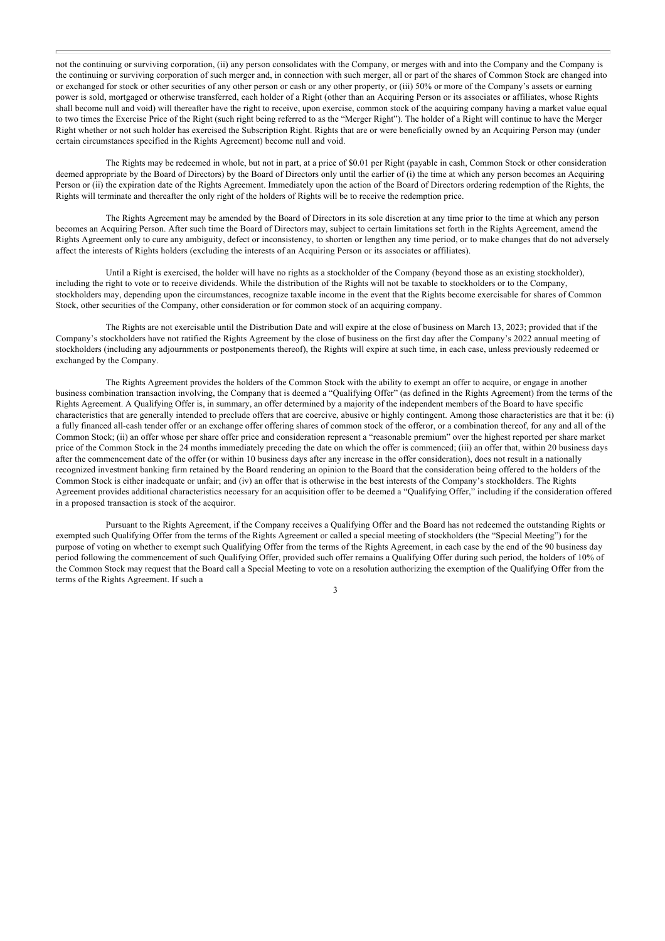not the continuing or surviving corporation, (ii) any person consolidates with the Company, or merges with and into the Company and the Company is the continuing or surviving corporation of such merger and, in connection with such merger, all or part of the shares of Common Stock are changed into or exchanged for stock or other securities of any other person or cash or any other property, or (iii) 50% or more of the Company's assets or earning power is sold, mortgaged or otherwise transferred, each holder of a Right (other than an Acquiring Person or its associates or affiliates, whose Rights shall become null and void) will thereafter have the right to receive, upon exercise, common stock of the acquiring company having a market value equal to two times the Exercise Price of the Right (such right being referred to as the "Merger Right"). The holder of a Right will continue to have the Merger Right whether or not such holder has exercised the Subscription Right. Rights that are or were beneficially owned by an Acquiring Person may (under certain circumstances specified in the Rights Agreement) become null and void.

The Rights may be redeemed in whole, but not in part, at a price of \$0.01 per Right (payable in cash, Common Stock or other consideration deemed appropriate by the Board of Directors) by the Board of Directors only until the earlier of (i) the time at which any person becomes an Acquiring Person or (ii) the expiration date of the Rights Agreement. Immediately upon the action of the Board of Directors ordering redemption of the Rights, the Rights will terminate and thereafter the only right of the holders of Rights will be to receive the redemption price.

The Rights Agreement may be amended by the Board of Directors in its sole discretion at any time prior to the time at which any person becomes an Acquiring Person. After such time the Board of Directors may, subject to certain limitations set forth in the Rights Agreement, amend the Rights Agreement only to cure any ambiguity, defect or inconsistency, to shorten or lengthen any time period, or to make changes that do not adversely affect the interests of Rights holders (excluding the interests of an Acquiring Person or its associates or affiliates).

Until a Right is exercised, the holder will have no rights as a stockholder of the Company (beyond those as an existing stockholder), including the right to vote or to receive dividends. While the distribution of the Rights will not be taxable to stockholders or to the Company, stockholders may, depending upon the circumstances, recognize taxable income in the event that the Rights become exercisable for shares of Common Stock, other securities of the Company, other consideration or for common stock of an acquiring company.

The Rights are not exercisable until the Distribution Date and will expire at the close of business on March 13, 2023; provided that if the Company's stockholders have not ratified the Rights Agreement by the close of business on the first day after the Company's 2022 annual meeting of stockholders (including any adjournments or postponements thereof), the Rights will expire at such time, in each case, unless previously redeemed or exchanged by the Company.

The Rights Agreement provides the holders of the Common Stock with the ability to exempt an offer to acquire, or engage in another business combination transaction involving, the Company that is deemed a "Qualifying Offer" (as defined in the Rights Agreement) from the terms of the Rights Agreement. A Qualifying Offer is, in summary, an offer determined by a majority of the independent members of the Board to have specific characteristics that are generally intended to preclude offers that are coercive, abusive or highly contingent. Among those characteristics are that it be: (i) a fully financed all-cash tender offer or an exchange offer offering shares of common stock of the offeror, or a combination thereof, for any and all of the Common Stock; (ii) an offer whose per share offer price and consideration represent a "reasonable premium" over the highest reported per share market price of the Common Stock in the 24 months immediately preceding the date on which the offer is commenced; (iii) an offer that, within 20 business days after the commencement date of the offer (or within 10 business days after any increase in the offer consideration), does not result in a nationally recognized investment banking firm retained by the Board rendering an opinion to the Board that the consideration being offered to the holders of the Common Stock is either inadequate or unfair; and (iv) an offer that is otherwise in the best interests of the Company's stockholders. The Rights Agreement provides additional characteristics necessary for an acquisition offer to be deemed a "Qualifying Offer," including if the consideration offered in a proposed transaction is stock of the acquiror.

Pursuant to the Rights Agreement, if the Company receives a Qualifying Offer and the Board has not redeemed the outstanding Rights or exempted such Qualifying Offer from the terms of the Rights Agreement or called a special meeting of stockholders (the "Special Meeting") for the purpose of voting on whether to exempt such Qualifying Offer from the terms of the Rights Agreement, in each case by the end of the 90 business day period following the commencement of such Qualifying Offer, provided such offer remains a Qualifying Offer during such period, the holders of 10% of the Common Stock may request that the Board call a Special Meeting to vote on a resolution authorizing the exemption of the Qualifying Offer from the terms of the Rights Agreement. If such a

3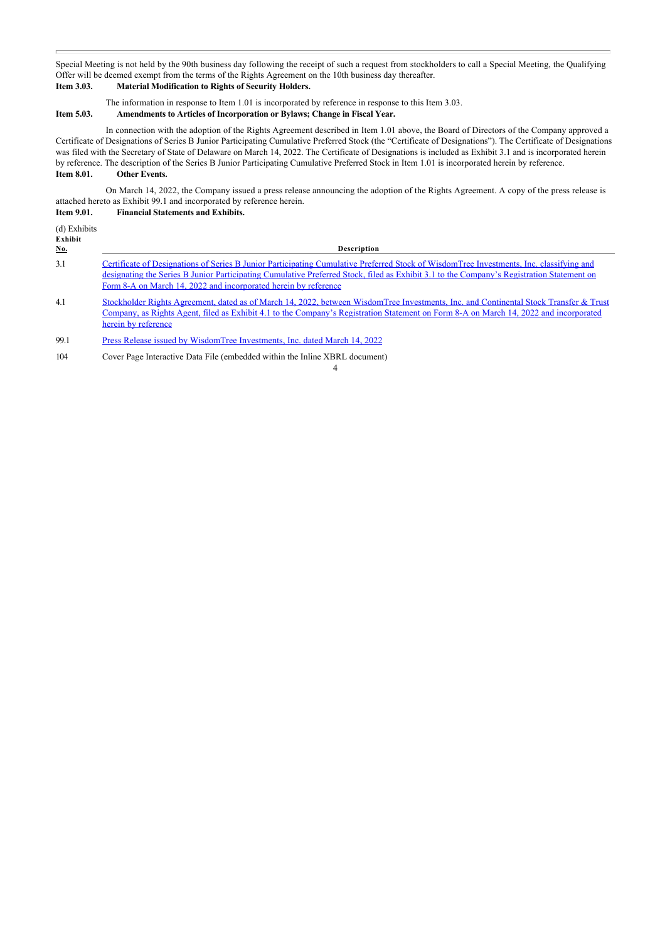Special Meeting is not held by the 90th business day following the receipt of such a request from stockholders to call a Special Meeting, the Qualifying Offer will be deemed exempt from the terms of the Rights Agreement on the 10th business day thereafter.

#### **Item 3.03. Material Modification to Rights of Security Holders.**

The information in response to Item 1.01 is incorporated by reference in response to this Item 3.03.

#### **Item 5.03. Amendments to Articles of Incorporation or Bylaws; Change in Fiscal Year.**

In connection with the adoption of the Rights Agreement described in Item 1.01 above, the Board of Directors of the Company approved a Certificate of Designations of Series B Junior Participating Cumulative Preferred Stock (the "Certificate of Designations"). The Certificate of Designations was filed with the Secretary of State of Delaware on March 14, 2022. The Certificate of Designations is included as Exhibit 3.1 and is incorporated herein by reference. The description of the Series B Junior Participating Cumulative Preferred Stock in Item 1.01 is incorporated herein by reference. **Item 8.01. Other Events.**

On March 14, 2022, the Company issued a press release announcing the adoption of the Rights Agreement. A copy of the press release is attached hereto as Exhibit 99.1 and incorporated by reference herein.

#### **Item 9.01. Financial Statements and Exhibits.**

| (d) Exhibits<br>Exhibit<br>No. | Description                                                                                                                                                                                                                                                                                                                                              |
|--------------------------------|----------------------------------------------------------------------------------------------------------------------------------------------------------------------------------------------------------------------------------------------------------------------------------------------------------------------------------------------------------|
| 3.1                            | Certificate of Designations of Series B Junior Participating Cumulative Preferred Stock of Wisdom Tree Investments, Inc. classifying and<br>designating the Series B Junior Participating Cumulative Preferred Stock, filed as Exhibit 3.1 to the Company's Registration Statement on<br>Form 8-A on March 14, 2022 and incorporated herein by reference |
| 4.1                            | Stockholder Rights Agreement, dated as of March 14, 2022, between WisdomTree Investments, Inc. and Continental Stock Transfer & Trust<br>Company, as Rights Agent, filed as Exhibit 4.1 to the Company's Registration Statement on Form 8-A on March 14, 2022 and incorporated<br>herein by reference                                                    |

4

99.1 [Press Release issued by WisdomTree Investments, Inc. dated March 14, 2022](http://www.sec.gov/Archives/edgar/data/880631/000119312522073994/d330304dex991.htm)

104 Cover Page Interactive Data File (embedded within the Inline XBRL document)